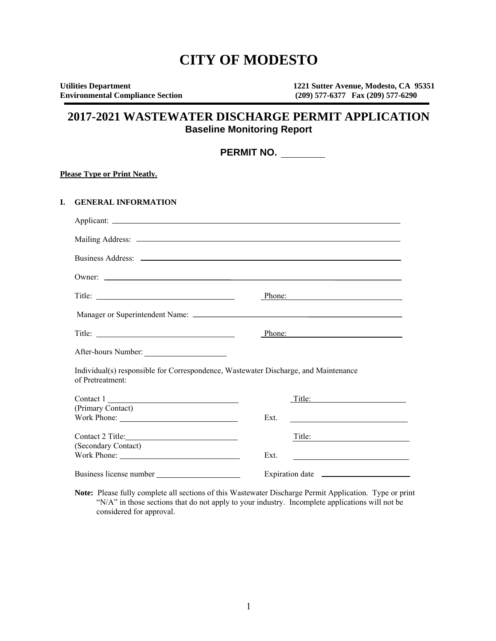# **CITY OF MODESTO**

| <b>Utilities Department</b>             | 1221 Sutter Avenue, Modesto, CA 95351 |
|-----------------------------------------|---------------------------------------|
| <b>Environmental Compliance Section</b> | $(209)$ 577-6377 Fax $(209)$ 577-6290 |

# **2017-2021 WASTEWATER DISCHARGE PERMIT APPLICATION Baseline Monitoring Report**

|    | PERMIT NO.                                                                                              |      |                                                                            |
|----|---------------------------------------------------------------------------------------------------------|------|----------------------------------------------------------------------------|
|    | <b>Please Type or Print Neatly.</b>                                                                     |      |                                                                            |
| L. | <b>GENERAL INFORMATION</b>                                                                              |      |                                                                            |
|    |                                                                                                         |      |                                                                            |
|    |                                                                                                         |      |                                                                            |
|    |                                                                                                         |      |                                                                            |
|    | Owner:                                                                                                  |      |                                                                            |
|    |                                                                                                         |      | Phone:                                                                     |
|    |                                                                                                         |      |                                                                            |
|    | Title:                                                                                                  |      | Phone:                                                                     |
|    | After-hours Number:                                                                                     |      |                                                                            |
|    | Individual(s) responsible for Correspondence, Wastewater Discharge, and Maintenance<br>of Pretreatment: |      |                                                                            |
|    | Contact $1 \_$                                                                                          |      | Title:                                                                     |
|    | (Primary Contact)                                                                                       | Ext. |                                                                            |
|    | Contact 2 Title: 2 Divideo 2 2 Title:                                                                   |      | Title:                                                                     |
|    | (Secondary Contact)                                                                                     | Ext. | the control of the control of the control of the control of the control of |
|    |                                                                                                         |      |                                                                            |

**Note:** Please fully complete all sections of this Wastewater Discharge Permit Application. Type or print "N/A" in those sections that do not apply to your industry. Incomplete applications will not be considered for approval.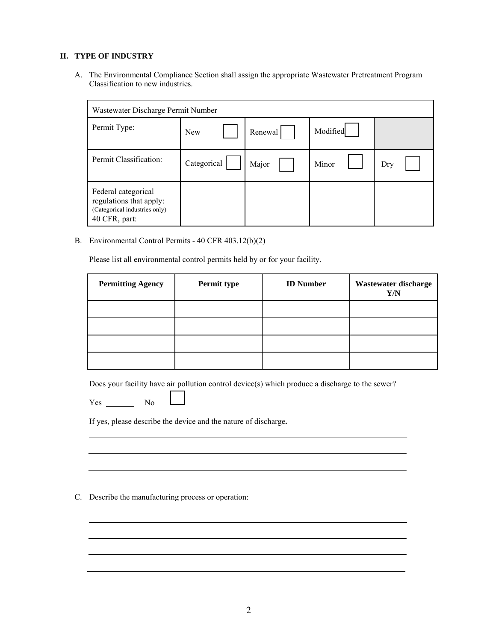## **II. TYPE OF INDUSTRY**

A. The Environmental Compliance Section shall assign the appropriate Wastewater Pretreatment Program Classification to new industries.

| Wastewater Discharge Permit Number                                                               |             |         |          |     |
|--------------------------------------------------------------------------------------------------|-------------|---------|----------|-----|
| Permit Type:                                                                                     | <b>New</b>  | Renewal | Modified |     |
| Permit Classification:                                                                           | Categorical | Major   | Minor    | Dry |
| Federal categorical<br>regulations that apply:<br>(Categorical industries only)<br>40 CFR, part: |             |         |          |     |

B. Environmental Control Permits - 40 CFR 403.12(b)(2)

Please list all environmental control permits held by or for your facility.

| <b>Permitting Agency</b> | Permit type | <b>ID</b> Number | Wastewater discharge<br>Y/N |
|--------------------------|-------------|------------------|-----------------------------|
|                          |             |                  |                             |
|                          |             |                  |                             |
|                          |             |                  |                             |
|                          |             |                  |                             |

Does your facility have air pollution control device(s) which produce a discharge to the sewer?

Yes No

If yes, please describe the device and the nature of discharge**.** 

C. Describe the manufacturing process or operation: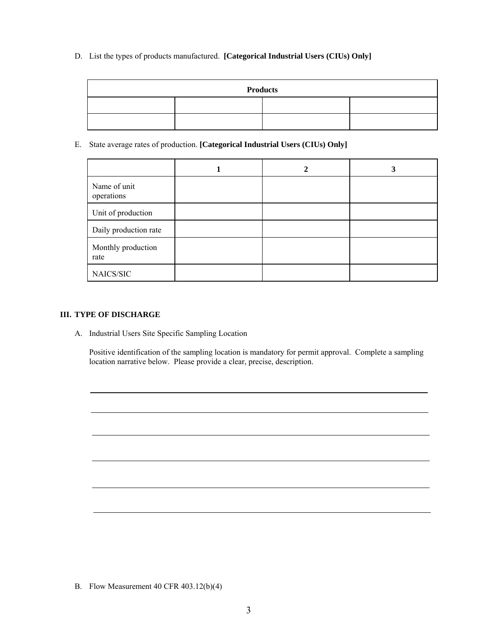D. List the types of products manufactured. **[Categorical Industrial Users (CIUs) Only]**

| <b>Products</b> |  |  |  |
|-----------------|--|--|--|
|                 |  |  |  |
|                 |  |  |  |

E. State average rates of production. **[Categorical Industrial Users (CIUs) Only]**

|                            | 2 | 3 |
|----------------------------|---|---|
| Name of unit<br>operations |   |   |
| Unit of production         |   |   |
| Daily production rate      |   |   |
| Monthly production<br>rate |   |   |
| NAICS/SIC                  |   |   |

## **III. TYPE OF DISCHARGE**

A. Industrial Users Site Specific Sampling Location

Positive identification of the sampling location is mandatory for permit approval. Complete a sampling location narrative below. Please provide a clear, precise, description.

I

B. Flow Measurement 40 CFR 403.12(b)(4)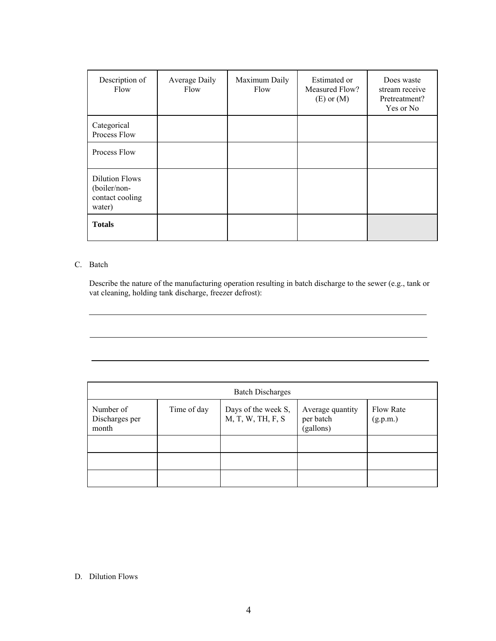| Description of<br>Flow                                             | Average Daily<br>Flow | Maximum Daily<br>Flow | Estimated or<br>Measured Flow?<br>$(E)$ or $(M)$ | Does waste<br>stream receive<br>Pretreatment?<br>Yes or No |
|--------------------------------------------------------------------|-----------------------|-----------------------|--------------------------------------------------|------------------------------------------------------------|
| Categorical<br>Process Flow                                        |                       |                       |                                                  |                                                            |
| Process Flow                                                       |                       |                       |                                                  |                                                            |
| <b>Dilution Flows</b><br>(boiler/non-<br>contact cooling<br>water) |                       |                       |                                                  |                                                            |
| <b>Totals</b>                                                      |                       |                       |                                                  |                                                            |

# C. Batch

 $\overline{a}$ 

Describe the nature of the manufacturing operation resulting in batch discharge to the sewer (e.g., tank or vat cleaning, holding tank discharge, freezer defrost):

| <b>Batch Discharges</b>              |             |                                          |                                            |                       |  |
|--------------------------------------|-------------|------------------------------------------|--------------------------------------------|-----------------------|--|
| Number of<br>Discharges per<br>month | Time of day | Days of the week S,<br>M, T, W, TH, F, S | Average quantity<br>per batch<br>(gallons) | Flow Rate<br>(g.p.m.) |  |
|                                      |             |                                          |                                            |                       |  |
|                                      |             |                                          |                                            |                       |  |
|                                      |             |                                          |                                            |                       |  |

# D. Dilution Flows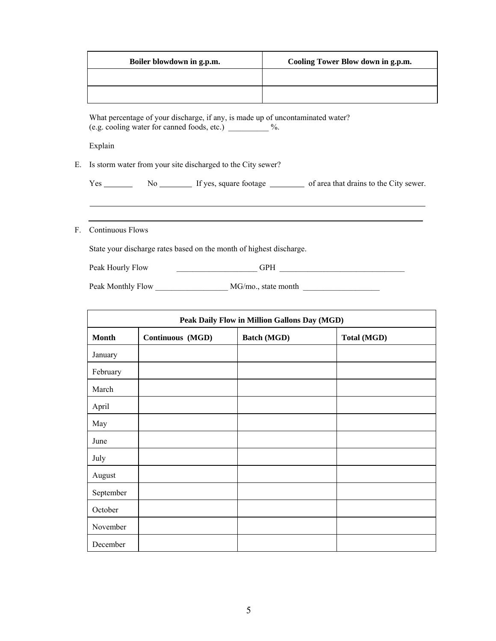| Boiler blowdown in g.p.m. | Cooling Tower Blow down in g.p.m. |
|---------------------------|-----------------------------------|
|                           |                                   |
|                           |                                   |

What percentage of your discharge, if any, is made up of uncontaminated water? (e.g. cooling water for canned foods, etc.) \_\_\_\_\_\_\_\_\_\_ %.

Explain

E. Is storm water from your site discharged to the City sewer?

| Yes | Nο | If yes, square footage | of area that drains to the City sewer. |
|-----|----|------------------------|----------------------------------------|
|-----|----|------------------------|----------------------------------------|

F. Continuous Flows

State your discharge rates based on the month of highest discharge.

Peak Hourly Flow GPH GPH

Peak Monthly Flow \_\_\_\_\_\_\_\_\_\_\_\_\_\_\_\_\_\_\_\_ MG/mo., state month \_\_\_\_\_\_\_\_\_\_\_\_\_\_\_\_\_\_\_\_\_

| Peak Daily Flow in Million Gallons Day (MGD) |                  |                    |                    |  |
|----------------------------------------------|------------------|--------------------|--------------------|--|
| <b>Month</b>                                 | Continuous (MGD) | <b>Batch (MGD)</b> | <b>Total (MGD)</b> |  |
| January                                      |                  |                    |                    |  |
| February                                     |                  |                    |                    |  |
| March                                        |                  |                    |                    |  |
| April                                        |                  |                    |                    |  |
| May                                          |                  |                    |                    |  |
| June                                         |                  |                    |                    |  |
| July                                         |                  |                    |                    |  |
| August                                       |                  |                    |                    |  |
| September                                    |                  |                    |                    |  |
| October                                      |                  |                    |                    |  |
| November                                     |                  |                    |                    |  |
| December                                     |                  |                    |                    |  |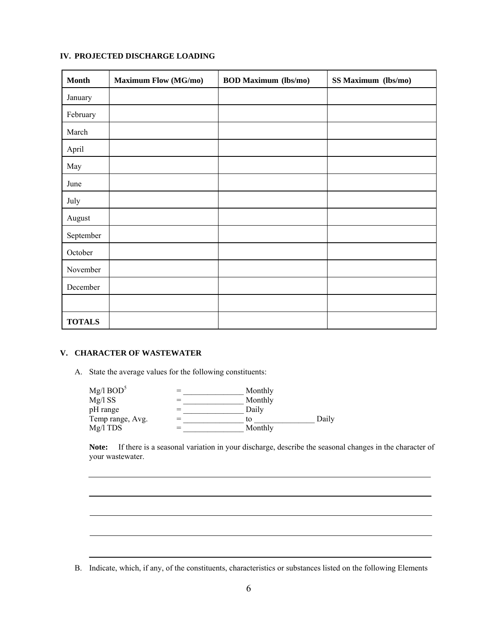# **IV. PROJECTED DISCHARGE LOADING**

| <b>Month</b>  | <b>Maximum Flow (MG/mo)</b> | <b>BOD Maximum (lbs/mo)</b> | SS Maximum (lbs/mo) |
|---------------|-----------------------------|-----------------------------|---------------------|
| January       |                             |                             |                     |
| February      |                             |                             |                     |
| March         |                             |                             |                     |
| April         |                             |                             |                     |
| May           |                             |                             |                     |
| June          |                             |                             |                     |
| July          |                             |                             |                     |
| August        |                             |                             |                     |
| September     |                             |                             |                     |
| October       |                             |                             |                     |
| November      |                             |                             |                     |
| December      |                             |                             |                     |
|               |                             |                             |                     |
| <b>TOTALS</b> |                             |                             |                     |

## **V. CHARACTER OF WASTEWATER**

L

 $\overline{a}$ 

 $\overline{a}$ 

A. State the average values for the following constituents:

| Mg/I BOD <sup>5</sup> | Monthly |       |
|-----------------------|---------|-------|
| Mg/1SS                | Monthly |       |
| pH range              | Daily   |       |
| Temp range, Avg.      | tο      | Daily |
| $Mg/I$ TDS            | Monthly |       |

 **Note:** If there is a seasonal variation in your discharge, describe the seasonal changes in the character of your wastewater.

B. Indicate, which, if any, of the constituents, characteristics or substances listed on the following Elements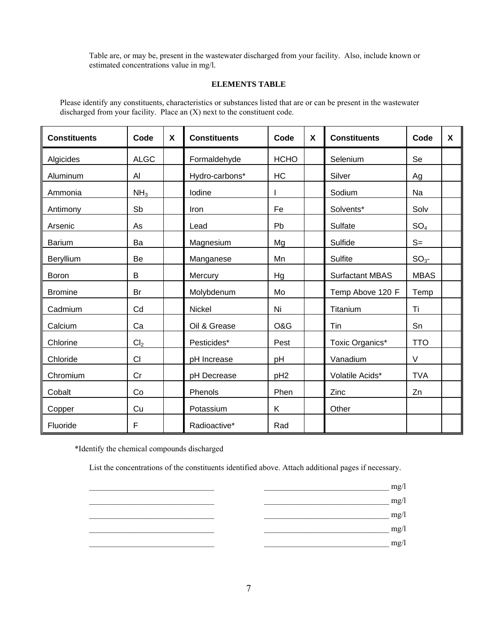Table are, or may be, present in the wastewater discharged from your facility. Also, include known or estimated concentrations value in mg/l.

#### **ELEMENTS TABLE**

Please identify any constituents, characteristics or substances listed that are or can be present in the wastewater discharged from your facility. Place an (X) next to the constituent code.

| <b>Constituents</b> | Code            | X | <b>Constituents</b> | Code            | $\boldsymbol{\mathsf{X}}$ | <b>Constituents</b>    | Code            | X |
|---------------------|-----------------|---|---------------------|-----------------|---------------------------|------------------------|-----------------|---|
| Algicides           | <b>ALGC</b>     |   | Formaldehyde        | <b>HCHO</b>     |                           | Selenium               | Se              |   |
| Aluminum            | Al              |   | Hydro-carbons*      | <b>HC</b>       |                           | Silver                 | Ag              |   |
| Ammonia             | NH <sub>3</sub> |   | Iodine              |                 |                           | Sodium                 | Na              |   |
| Antimony            | Sb              |   | Iron                | Fe              |                           | Solvents*              | Solv            |   |
| Arsenic             | As              |   | Lead                | Pb              |                           | Sulfate                | SO <sub>4</sub> |   |
| <b>Barium</b>       | Ba              |   | Magnesium           | Mg              |                           | Sulfide                | $S=$            |   |
| Beryllium           | Be              |   | Manganese           | Mn              |                           | <b>Sulfite</b>         | $SO3$ -         |   |
| Boron               | B               |   | Mercury             | Hg              |                           | <b>Surfactant MBAS</b> | <b>MBAS</b>     |   |
| <b>Bromine</b>      | Br              |   | Molybdenum          | Mo              |                           | Temp Above 120 F       | Temp            |   |
| Cadmium             | Cd              |   | Nickel              | Ni              |                           | Titanium               | Ti              |   |
| Calcium             | Ca              |   | Oil & Grease        | O&G             |                           | Tin                    | Sn              |   |
| Chlorine            | Cl <sub>2</sub> |   | Pesticides*         | Pest            |                           | Toxic Organics*        | <b>TTO</b>      |   |
| Chloride            | CI              |   | pH Increase         | pH              |                           | Vanadium               | $\vee$          |   |
| Chromium            | Cr              |   | pH Decrease         | pH <sub>2</sub> |                           | Volatile Acids*        | <b>TVA</b>      |   |
| Cobalt              | Co              |   | Phenols             | Phen            |                           | Zinc                   | Zn              |   |
| Copper              | Cu              |   | Potassium           | Κ               |                           | Other                  |                 |   |
| Fluoride            | F               |   | Radioactive*        | Rad             |                           |                        |                 |   |

\*Identify the chemical compounds discharged

List the concentrations of the constituents identified above. Attach additional pages if necessary.

 $mg/l$  $\frac{mg}{l}$ 

- $\log \log \log n$
- \_\_\_\_\_\_\_\_\_\_\_\_\_\_\_\_\_\_\_\_\_\_\_\_\_\_\_\_\_\_\_ \_\_\_\_\_\_\_\_\_\_\_\_\_\_\_\_\_\_\_\_\_\_\_\_\_\_\_\_\_\_\_ mg/l
	- $\overline{\phantom{a}}$  mg/l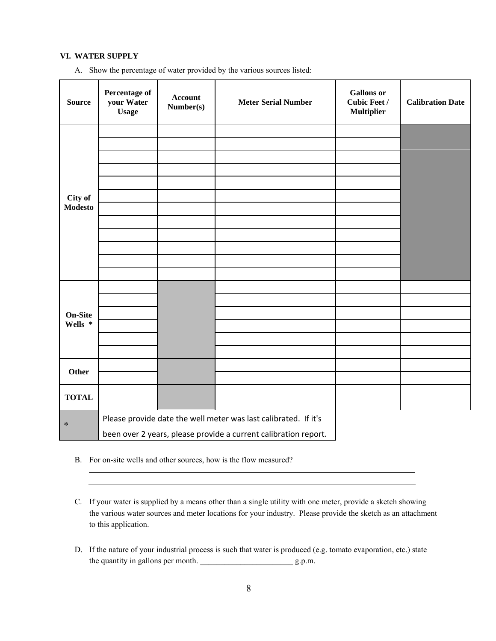#### **VI. WATER SUPPLY**

A. Show the percentage of water provided by the various sources listed:

| <b>Source</b>             | Percentage of<br>your Water<br><b>Usage</b>                                                                                        | <b>Account</b><br>Number(s) | <b>Meter Serial Number</b> | <b>Gallons</b> or<br><b>Cubic Feet /</b><br><b>Multiplier</b> | <b>Calibration Date</b> |
|---------------------------|------------------------------------------------------------------------------------------------------------------------------------|-----------------------------|----------------------------|---------------------------------------------------------------|-------------------------|
| City of<br><b>Modesto</b> |                                                                                                                                    |                             |                            |                                                               |                         |
| <b>On-Site</b><br>Wells * |                                                                                                                                    |                             |                            |                                                               |                         |
| Other                     |                                                                                                                                    |                             |                            |                                                               |                         |
| <b>TOTAL</b>              |                                                                                                                                    |                             |                            |                                                               |                         |
| $\ast$                    | Please provide date the well meter was last calibrated. If it's<br>been over 2 years, please provide a current calibration report. |                             |                            |                                                               |                         |

B. For on-site wells and other sources, how is the flow measured?

C. If your water is supplied by a means other than a single utility with one meter, provide a sketch showing the various water sources and meter locations for your industry. Please provide the sketch as an attachment to this application.

D. If the nature of your industrial process is such that water is produced (e.g. tomato evaporation, etc.) state the quantity in gallons per month. \_\_\_\_\_\_\_\_\_\_\_\_\_\_\_\_\_\_\_\_\_\_\_ g.p.m.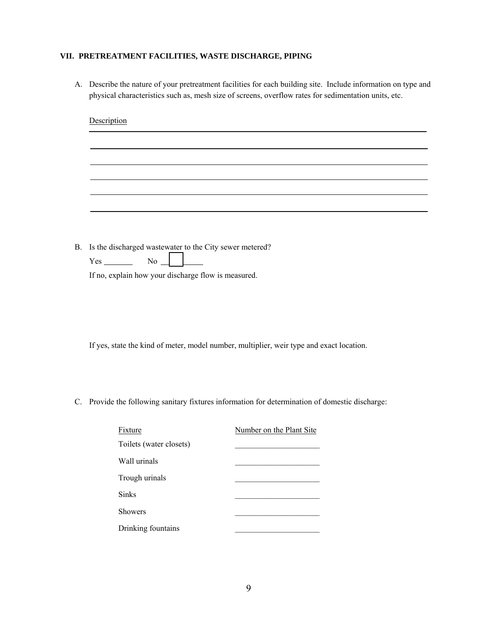## **VII. PRETREATMENT FACILITIES, WASTE DISCHARGE, PIPING**

A. Describe the nature of your pretreatment facilities for each building site. Include information on type and physical characteristics such as, mesh size of screens, overflow rates for sedimentation units, etc.

|           | Description                                                                                     |
|-----------|-------------------------------------------------------------------------------------------------|
|           |                                                                                                 |
|           |                                                                                                 |
|           |                                                                                                 |
|           |                                                                                                 |
|           |                                                                                                 |
|           |                                                                                                 |
| <b>B.</b> | Is the discharged wastewater to the City sewer metered?                                         |
|           | $No_$<br>$Yes$ <sub>__________</sub>                                                            |
|           | If no, explain how your discharge flow is measured.                                             |
|           |                                                                                                 |
|           |                                                                                                 |
|           |                                                                                                 |
|           | If yes, state the kind of meter, model number, multiplier, weir type and exact location.        |
|           |                                                                                                 |
|           |                                                                                                 |
|           | C. Provide the following sanitary fixtures information for determination of domestic discharge: |
|           |                                                                                                 |
|           | Fixture<br>Number on the Plant Site                                                             |
|           | Toilets (water closets)                                                                         |
|           | Wall urinals                                                                                    |
|           | Trough urinals                                                                                  |

Sinks **Sinks** 

Showers

Drinking fountains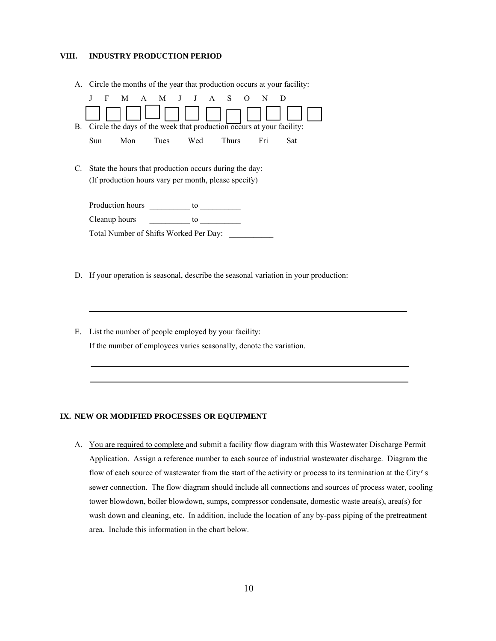#### **VIII. INDUSTRY PRODUCTION PERIOD**

A. Circle the months of the year that production occurs at your facility:

| В. | F             |                  |      | M A M J J A S<br>Circle the days of the week that production occurs at your facility:                          | $\Omega$     | N   |     |
|----|---------------|------------------|------|----------------------------------------------------------------------------------------------------------------|--------------|-----|-----|
|    | Sun           | Mon              | Tues | Wed                                                                                                            | <b>Thurs</b> | Fri | Sat |
| C. |               |                  |      | State the hours that production occurs during the day:<br>(If production hours vary per month, please specify) |              |     |     |
|    |               | Production hours |      | to                                                                                                             |              |     |     |
|    | Cleanup hours |                  |      | to                                                                                                             |              |     |     |
|    |               |                  |      | Total Number of Shifts Worked Per Day:                                                                         |              |     |     |

- D. If your operation is seasonal, describe the seasonal variation in your production:
- E. List the number of people employed by your facility: If the number of employees varies seasonally, denote the variation.

#### **IX. NEW OR MODIFIED PROCESSES OR EQUIPMENT**

A. You are required to complete and submit a facility flow diagram with this Wastewater Discharge Permit Application. Assign a reference number to each source of industrial wastewater discharge. Diagram the flow of each source of wastewater from the start of the activity or process to its termination at the City's sewer connection. The flow diagram should include all connections and sources of process water, cooling tower blowdown, boiler blowdown, sumps, compressor condensate, domestic waste area(s), area(s) for wash down and cleaning, etc. In addition, include the location of any by-pass piping of the pretreatment area. Include this information in the chart below.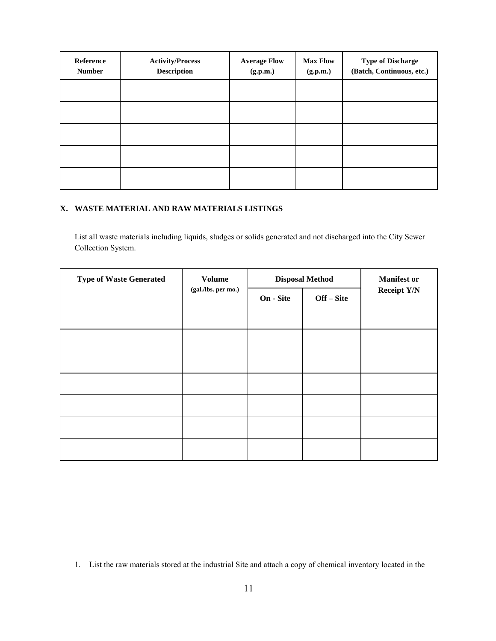| Reference<br><b>Number</b> | <b>Activity/Process</b><br><b>Description</b> | <b>Average Flow</b><br>(g.p.m.) | <b>Max Flow</b><br>(g.p.m.) | <b>Type of Discharge</b><br>(Batch, Continuous, etc.) |
|----------------------------|-----------------------------------------------|---------------------------------|-----------------------------|-------------------------------------------------------|
|                            |                                               |                                 |                             |                                                       |
|                            |                                               |                                 |                             |                                                       |
|                            |                                               |                                 |                             |                                                       |
|                            |                                               |                                 |                             |                                                       |
|                            |                                               |                                 |                             |                                                       |

# **X. WASTE MATERIAL AND RAW MATERIALS LISTINGS**

List all waste materials including liquids, sludges or solids generated and not discharged into the City Sewer Collection System.

| <b>Type of Waste Generated</b> | <b>Volume</b><br>(gal./lbs. per mo.) |           | <b>Disposal Method</b> | <b>Manifest or</b> |
|--------------------------------|--------------------------------------|-----------|------------------------|--------------------|
|                                |                                      | On - Site | Off – Site             | <b>Receipt Y/N</b> |
|                                |                                      |           |                        |                    |
|                                |                                      |           |                        |                    |
|                                |                                      |           |                        |                    |
|                                |                                      |           |                        |                    |
|                                |                                      |           |                        |                    |
|                                |                                      |           |                        |                    |
|                                |                                      |           |                        |                    |

<sup>1.</sup> List the raw materials stored at the industrial Site and attach a copy of chemical inventory located in the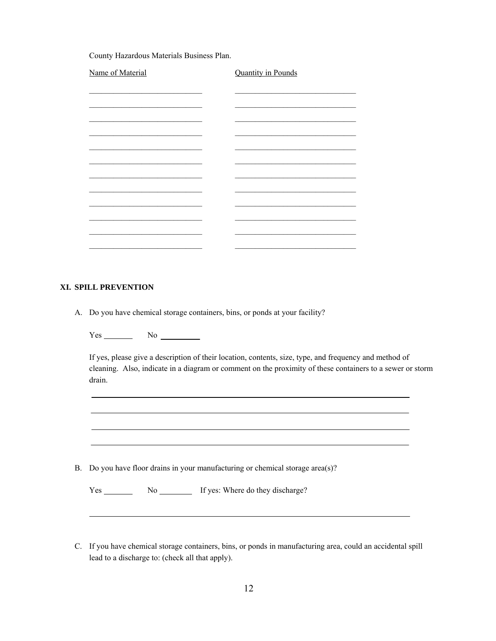County Hazardous Materials Business Plan.

| Name of Material | <b>Quantity in Pounds</b> |  |
|------------------|---------------------------|--|
|                  |                           |  |
|                  |                           |  |
|                  |                           |  |
|                  |                           |  |
|                  |                           |  |
|                  |                           |  |
|                  |                           |  |
|                  |                           |  |
|                  |                           |  |
|                  |                           |  |
|                  |                           |  |
|                  |                           |  |

#### **XI. SPILL PREVENTION**

 $\overline{a}$ 

A. Do you have chemical storage containers, bins, or ponds at your facility?

 $Yes$  No  $\_\_\_\_\_\_\$ 

If yes, please give a description of their location, contents, size, type, and frequency and method of cleaning. Also, indicate in a diagram or comment on the proximity of these containers to a sewer or storm drain.

B. Do you have floor drains in your manufacturing or chemical storage area(s)?

Yes No No If yes: Where do they discharge?

C. If you have chemical storage containers, bins, or ponds in manufacturing area, could an accidental spill lead to a discharge to: (check all that apply).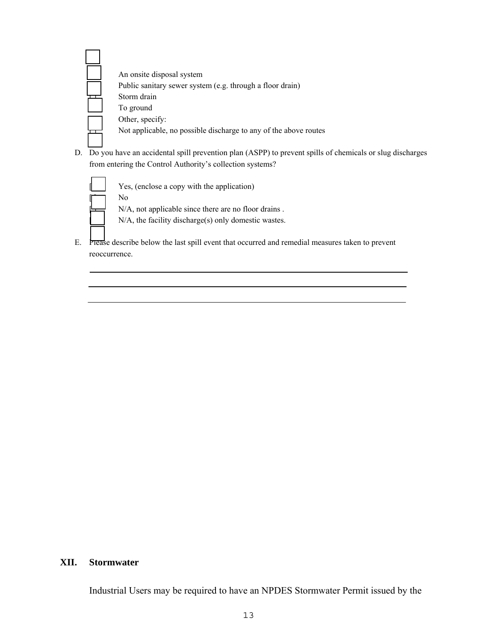| An onsite disposal system                                        |
|------------------------------------------------------------------|
| Public sanitary sewer system (e.g. through a floor drain)        |
| Storm drain                                                      |
| To ground                                                        |
| Other, specify:                                                  |
| Not applicable, no possible discharge to any of the above routes |

D. Do you have an accidental spill prevention plan (ASPP) to prevent spills of chemicals or slug discharges from entering the Control Authority's collection systems?



E. Please describe below the last spill event that occurred and remedial measures taken to prevent reoccurrence.

# **XII. Stormwater**

Industrial Users may be required to have an NPDES Stormwater Permit issued by the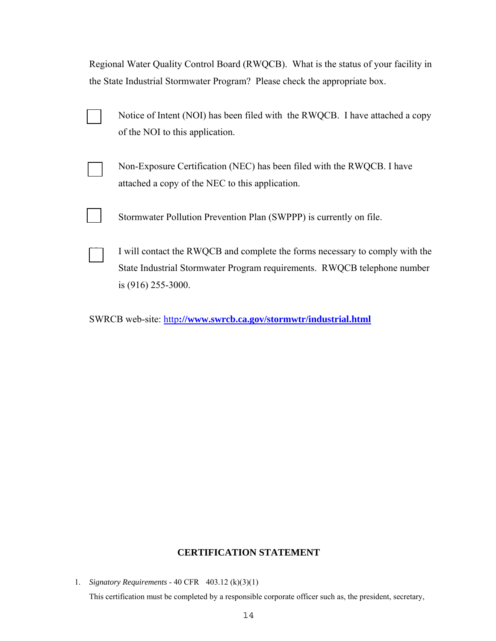Regional Water Quality Control Board (RWQCB). What is the status of your facility in the State Industrial Stormwater Program? Please check the appropriate box.

| Notice of Intent (NOI) has been filed with the RWQCB. I have attached a copy |
|------------------------------------------------------------------------------|
| of the NOI to this application.                                              |

Non-Exposure Certification (NEC) has been filed with the RWQCB. I have attached a copy of the NEC to this application.

Stormwater Pollution Prevention Plan (SWPPP) is currently on file.

I will contact the RWQCB and complete the forms necessary to comply with the State Industrial Stormwater Program requirements. RWQCB telephone number is (916) 255-3000.

SWRCB web-site: http**://www.swrcb.ca.gov/stormwtr/industrial.html**

# **CERTIFICATION STATEMENT**

1. *Signatory Requirements* - 40 CFR 403.12 (k)(3)(1)

This certification must be completed by a responsible corporate officer such as, the president, secretary,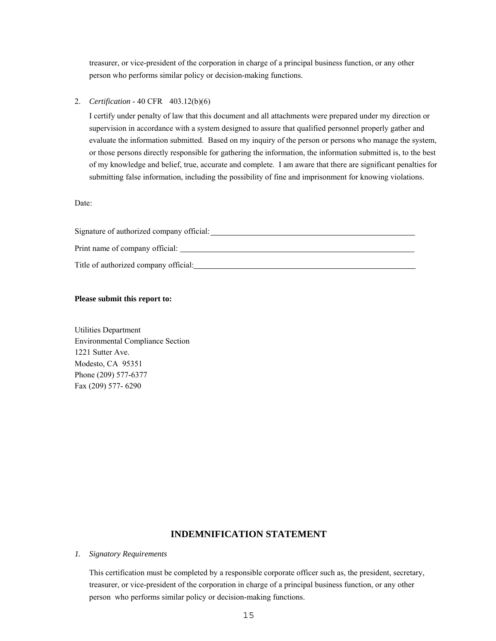treasurer, or vice-president of the corporation in charge of a principal business function, or any other person who performs similar policy or decision-making functions.

2. *Certification* - 40 CFR 403.12(b)(6)

I certify under penalty of law that this document and all attachments were prepared under my direction or supervision in accordance with a system designed to assure that qualified personnel properly gather and evaluate the information submitted. Based on my inquiry of the person or persons who manage the system, or those persons directly responsible for gathering the information, the information submitted is, to the best of my knowledge and belief, true, accurate and complete. I am aware that there are significant penalties for submitting false information, including the possibility of fine and imprisonment for knowing violations.

Date:

| Signature of authorized company official: |
|-------------------------------------------|
|                                           |
| Print name of company official:           |
|                                           |
| Title of authorized company official:     |
|                                           |

#### **Please submit this report to:**

Utilities Department Environmental Compliance Section 1221 Sutter Ave. Modesto, CA 95351 Phone (209) 577-6377 Fax (209) 577- 6290

# **INDEMNIFICATION STATEMENT**

#### *1. Signatory Requirements*

This certification must be completed by a responsible corporate officer such as, the president, secretary, treasurer, or vice-president of the corporation in charge of a principal business function, or any other person who performs similar policy or decision-making functions.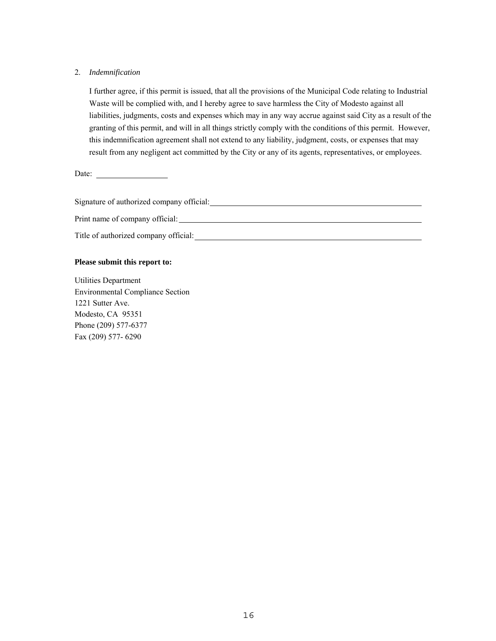## 2. *Indemnification*

I further agree, if this permit is issued, that all the provisions of the Municipal Code relating to Industrial Waste will be complied with, and I hereby agree to save harmless the City of Modesto against all liabilities, judgments, costs and expenses which may in any way accrue against said City as a result of the granting of this permit, and will in all things strictly comply with the conditions of this permit. However, this indemnification agreement shall not extend to any liability, judgment, costs, or expenses that may result from any negligent act committed by the City or any of its agents, representatives, or employees.

Date:

Signature of authorized company official:

Print name of company official:

Title of authorized company official:

## **Please submit this report to:**

Utilities Department Environmental Compliance Section 1221 Sutter Ave. Modesto, CA 95351 Phone (209) 577-6377 Fax (209) 577- 6290